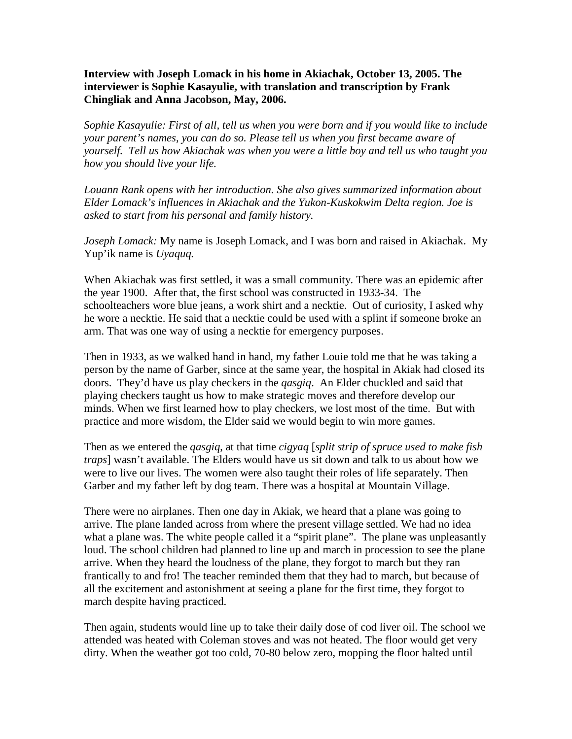**Interview with Joseph Lomack in his home in Akiachak, October 13, 2005. The interviewer is Sophie Kasayulie, with translation and transcription by Frank Chingliak and Anna Jacobson, May, 2006.** 

*Sophie Kasayulie: First of all, tell us when you were born and if you would like to include your parent's names, you can do so. Please tell us when you first became aware of yourself. Tell us how Akiachak was when you were a little boy and tell us who taught you how you should live your life.* 

*Louann Rank opens with her introduction. She also gives summarized information about Elder Lomack's influences in Akiachak and the Yukon-Kuskokwim Delta region. Joe is asked to start from his personal and family history.*

*Joseph Lomack:* My name is Joseph Lomack, and I was born and raised in Akiachak. My Yup'ik name is *Uyaquq.*

When Akiachak was first settled, it was a small community. There was an epidemic after the year 1900. After that, the first school was constructed in 1933-34. The schoolteachers wore blue jeans, a work shirt and a necktie. Out of curiosity, I asked why he wore a necktie. He said that a necktie could be used with a splint if someone broke an arm. That was one way of using a necktie for emergency purposes.

Then in 1933, as we walked hand in hand, my father Louie told me that he was taking a person by the name of Garber, since at the same year, the hospital in Akiak had closed its doors. They'd have us play checkers in the *qasgiq*. An Elder chuckled and said that playing checkers taught us how to make strategic moves and therefore develop our minds. When we first learned how to play checkers, we lost most of the time. But with practice and more wisdom, the Elder said we would begin to win more games.

Then as we entered the *qasgiq*, at that time *cigyaq* [*split strip of spruce used to make fish traps*] wasn't available. The Elders would have us sit down and talk to us about how we were to live our lives. The women were also taught their roles of life separately. Then Garber and my father left by dog team. There was a hospital at Mountain Village.

There were no airplanes. Then one day in Akiak, we heard that a plane was going to arrive. The plane landed across from where the present village settled. We had no idea what a plane was. The white people called it a "spirit plane". The plane was unpleasantly loud. The school children had planned to line up and march in procession to see the plane arrive. When they heard the loudness of the plane, they forgot to march but they ran frantically to and fro! The teacher reminded them that they had to march, but because of all the excitement and astonishment at seeing a plane for the first time, they forgot to march despite having practiced.

Then again, students would line up to take their daily dose of cod liver oil. The school we attended was heated with Coleman stoves and was not heated. The floor would get very dirty. When the weather got too cold, 70-80 below zero, mopping the floor halted until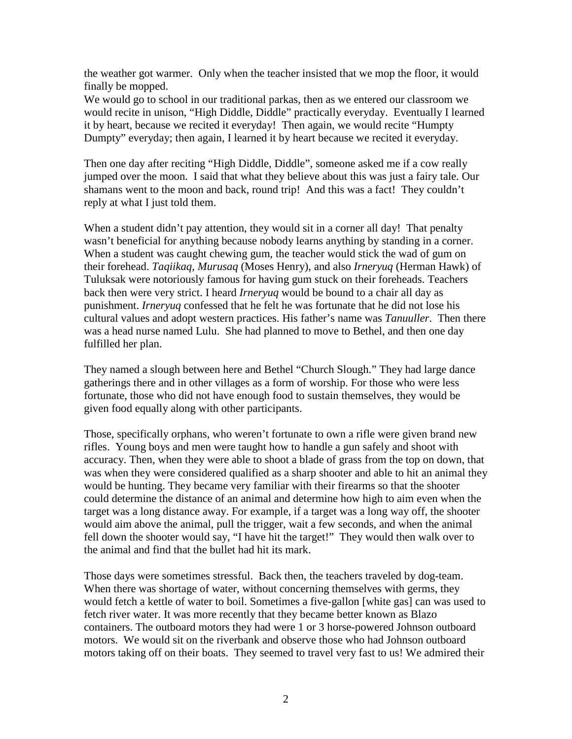the weather got warmer. Only when the teacher insisted that we mop the floor, it would finally be mopped.

We would go to school in our traditional parkas, then as we entered our classroom we would recite in unison, "High Diddle, Diddle" practically everyday. Eventually I learned it by heart, because we recited it everyday! Then again, we would recite "Humpty Dumpty" everyday; then again, I learned it by heart because we recited it everyday.

Then one day after reciting "High Diddle, Diddle", someone asked me if a cow really jumped over the moon. I said that what they believe about this was just a fairy tale. Our shamans went to the moon and back, round trip! And this was a fact! They couldn't reply at what I just told them.

When a student didn't pay attention, they would sit in a corner all day! That penalty wasn't beneficial for anything because nobody learns anything by standing in a corner. When a student was caught chewing gum, the teacher would stick the wad of gum on their forehead. *Taqiikaq, Murusaq* (Moses Henry), and also *Irneryuq* (Herman Hawk) of Tuluksak were notoriously famous for having gum stuck on their foreheads. Teachers back then were very strict. I heard *Irneryuq* would be bound to a chair all day as punishment. *Irneryuq* confessed that he felt he was fortunate that he did not lose his cultural values and adopt western practices. His father's name was *Tanuuller*. Then there was a head nurse named Lulu. She had planned to move to Bethel, and then one day fulfilled her plan.

They named a slough between here and Bethel "Church Slough." They had large dance gatherings there and in other villages as a form of worship. For those who were less fortunate, those who did not have enough food to sustain themselves, they would be given food equally along with other participants.

Those, specifically orphans, who weren't fortunate to own a rifle were given brand new rifles. Young boys and men were taught how to handle a gun safely and shoot with accuracy. Then, when they were able to shoot a blade of grass from the top on down, that was when they were considered qualified as a sharp shooter and able to hit an animal they would be hunting. They became very familiar with their firearms so that the shooter could determine the distance of an animal and determine how high to aim even when the target was a long distance away. For example, if a target was a long way off, the shooter would aim above the animal, pull the trigger, wait a few seconds, and when the animal fell down the shooter would say, "I have hit the target!" They would then walk over to the animal and find that the bullet had hit its mark.

Those days were sometimes stressful. Back then, the teachers traveled by dog-team. When there was shortage of water, without concerning themselves with germs, they would fetch a kettle of water to boil. Sometimes a five-gallon [white gas] can was used to fetch river water. It was more recently that they became better known as Blazo containers. The outboard motors they had were 1 or 3 horse-powered Johnson outboard motors. We would sit on the riverbank and observe those who had Johnson outboard motors taking off on their boats. They seemed to travel very fast to us! We admired their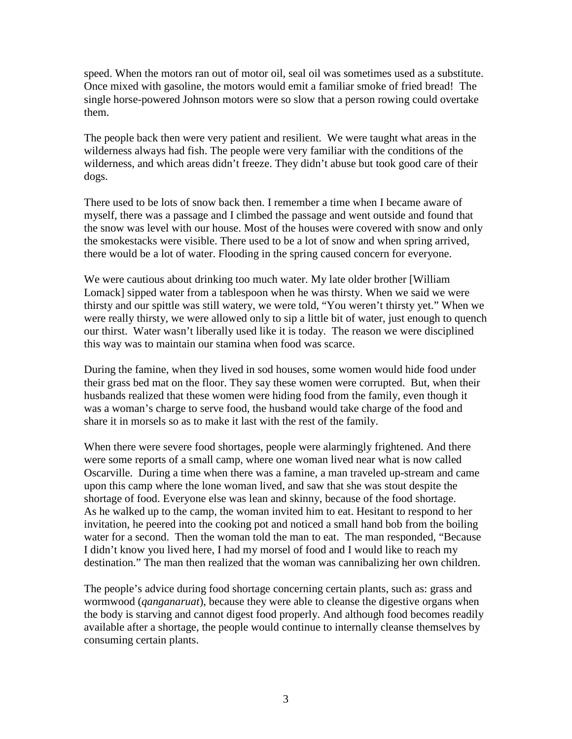speed. When the motors ran out of motor oil, seal oil was sometimes used as a substitute. Once mixed with gasoline, the motors would emit a familiar smoke of fried bread! The single horse-powered Johnson motors were so slow that a person rowing could overtake them.

The people back then were very patient and resilient. We were taught what areas in the wilderness always had fish. The people were very familiar with the conditions of the wilderness, and which areas didn't freeze. They didn't abuse but took good care of their dogs.

There used to be lots of snow back then. I remember a time when I became aware of myself, there was a passage and I climbed the passage and went outside and found that the snow was level with our house. Most of the houses were covered with snow and only the smokestacks were visible. There used to be a lot of snow and when spring arrived, there would be a lot of water. Flooding in the spring caused concern for everyone.

We were cautious about drinking too much water. My late older brother [William] Lomack] sipped water from a tablespoon when he was thirsty. When we said we were thirsty and our spittle was still watery, we were told, "You weren't thirsty yet." When we were really thirsty, we were allowed only to sip a little bit of water, just enough to quench our thirst. Water wasn't liberally used like it is today. The reason we were disciplined this way was to maintain our stamina when food was scarce.

During the famine, when they lived in sod houses, some women would hide food under their grass bed mat on the floor. They say these women were corrupted. But, when their husbands realized that these women were hiding food from the family, even though it was a woman's charge to serve food, the husband would take charge of the food and share it in morsels so as to make it last with the rest of the family.

When there were severe food shortages, people were alarmingly frightened. And there were some reports of a small camp, where one woman lived near what is now called Oscarville. During a time when there was a famine, a man traveled up-stream and came upon this camp where the lone woman lived, and saw that she was stout despite the shortage of food. Everyone else was lean and skinny, because of the food shortage. As he walked up to the camp, the woman invited him to eat. Hesitant to respond to her invitation, he peered into the cooking pot and noticed a small hand bob from the boiling water for a second. Then the woman told the man to eat. The man responded, "Because I didn't know you lived here, I had my morsel of food and I would like to reach my destination." The man then realized that the woman was cannibalizing her own children.

The people's advice during food shortage concerning certain plants, such as: grass and wormwood (*qanganaruat*), because they were able to cleanse the digestive organs when the body is starving and cannot digest food properly. And although food becomes readily available after a shortage, the people would continue to internally cleanse themselves by consuming certain plants.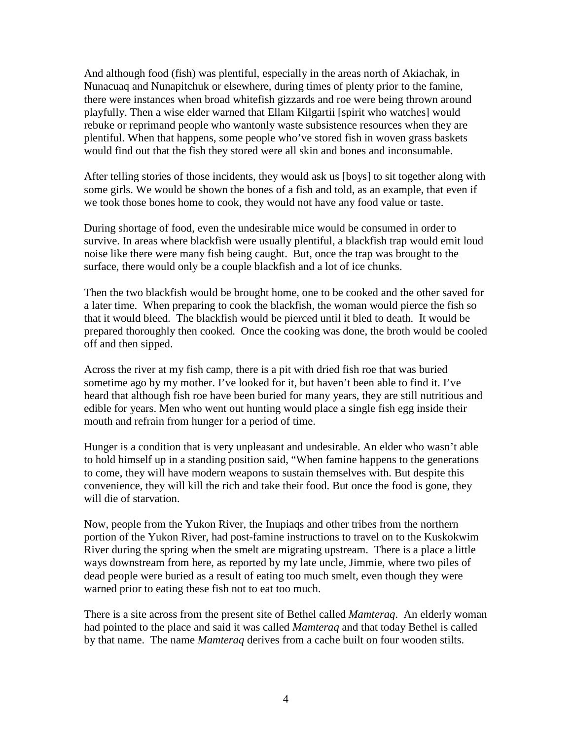And although food (fish) was plentiful, especially in the areas north of Akiachak, in Nunacuaq and Nunapitchuk or elsewhere, during times of plenty prior to the famine, there were instances when broad whitefish gizzards and roe were being thrown around playfully. Then a wise elder warned that Ellam Kilgartii [spirit who watches] would rebuke or reprimand people who wantonly waste subsistence resources when they are plentiful. When that happens, some people who've stored fish in woven grass baskets would find out that the fish they stored were all skin and bones and inconsumable.

After telling stories of those incidents, they would ask us [boys] to sit together along with some girls. We would be shown the bones of a fish and told, as an example, that even if we took those bones home to cook, they would not have any food value or taste.

During shortage of food, even the undesirable mice would be consumed in order to survive. In areas where blackfish were usually plentiful, a blackfish trap would emit loud noise like there were many fish being caught. But, once the trap was brought to the surface, there would only be a couple blackfish and a lot of ice chunks.

Then the two blackfish would be brought home, one to be cooked and the other saved for a later time. When preparing to cook the blackfish, the woman would pierce the fish so that it would bleed. The blackfish would be pierced until it bled to death. It would be prepared thoroughly then cooked. Once the cooking was done, the broth would be cooled off and then sipped.

Across the river at my fish camp, there is a pit with dried fish roe that was buried sometime ago by my mother. I've looked for it, but haven't been able to find it. I've heard that although fish roe have been buried for many years, they are still nutritious and edible for years. Men who went out hunting would place a single fish egg inside their mouth and refrain from hunger for a period of time.

Hunger is a condition that is very unpleasant and undesirable. An elder who wasn't able to hold himself up in a standing position said, "When famine happens to the generations to come, they will have modern weapons to sustain themselves with. But despite this convenience, they will kill the rich and take their food. But once the food is gone, they will die of starvation.

Now, people from the Yukon River, the Inupiaqs and other tribes from the northern portion of the Yukon River, had post-famine instructions to travel on to the Kuskokwim River during the spring when the smelt are migrating upstream. There is a place a little ways downstream from here, as reported by my late uncle, Jimmie, where two piles of dead people were buried as a result of eating too much smelt, even though they were warned prior to eating these fish not to eat too much.

There is a site across from the present site of Bethel called *Mamteraq*. An elderly woman had pointed to the place and said it was called *Mamteraq* and that today Bethel is called by that name. The name *Mamteraq* derives from a cache built on four wooden stilts.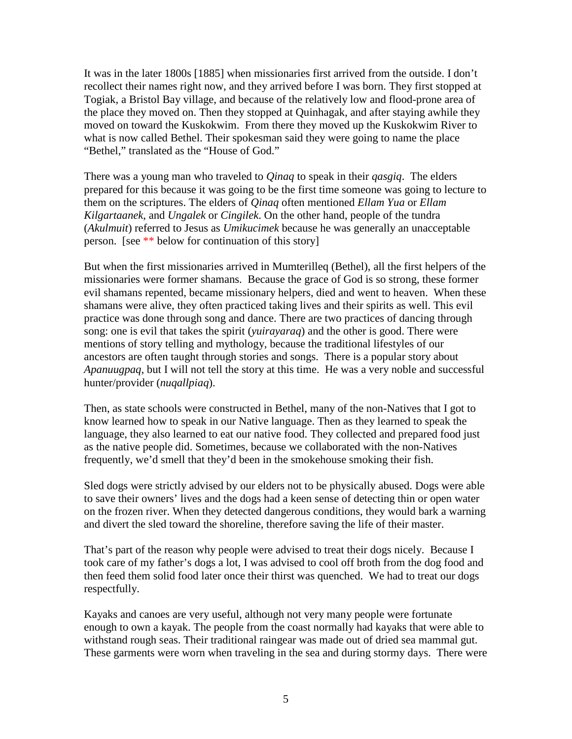It was in the later 1800s [1885] when missionaries first arrived from the outside. I don't recollect their names right now, and they arrived before I was born. They first stopped at Togiak, a Bristol Bay village, and because of the relatively low and flood-prone area of the place they moved on. Then they stopped at Quinhagak, and after staying awhile they moved on toward the Kuskokwim. From there they moved up the Kuskokwim River to what is now called Bethel. Their spokesman said they were going to name the place "Bethel," translated as the "House of God."

There was a young man who traveled to *Qinaq* to speak in their *qasgiq*. The elders prepared for this because it was going to be the first time someone was going to lecture to them on the scriptures. The elders of *Qinaq* often mentioned *Ellam Yua* or *Ellam Kilgartaanek*, and *Ungalek* or *Cingilek*. On the other hand, people of the tundra (*Akulmuit*) referred to Jesus as *Umikucimek* because he was generally an unacceptable person. [see \*\* below for continuation of this story]

But when the first missionaries arrived in Mumterilleq (Bethel), all the first helpers of the missionaries were former shamans. Because the grace of God is so strong, these former evil shamans repented, became missionary helpers, died and went to heaven. When these shamans were alive, they often practiced taking lives and their spirits as well. This evil practice was done through song and dance. There are two practices of dancing through song: one is evil that takes the spirit (*yuirayaraq*) and the other is good. There were mentions of story telling and mythology, because the traditional lifestyles of our ancestors are often taught through stories and songs. There is a popular story about *Apanuugpaq*, but I will not tell the story at this time. He was a very noble and successful hunter/provider (*nuqallpiaq*).

Then, as state schools were constructed in Bethel, many of the non-Natives that I got to know learned how to speak in our Native language. Then as they learned to speak the language, they also learned to eat our native food. They collected and prepared food just as the native people did. Sometimes, because we collaborated with the non-Natives frequently, we'd smell that they'd been in the smokehouse smoking their fish.

Sled dogs were strictly advised by our elders not to be physically abused. Dogs were able to save their owners' lives and the dogs had a keen sense of detecting thin or open water on the frozen river. When they detected dangerous conditions, they would bark a warning and divert the sled toward the shoreline, therefore saving the life of their master.

That's part of the reason why people were advised to treat their dogs nicely. Because I took care of my father's dogs a lot, I was advised to cool off broth from the dog food and then feed them solid food later once their thirst was quenched. We had to treat our dogs respectfully.

Kayaks and canoes are very useful, although not very many people were fortunate enough to own a kayak. The people from the coast normally had kayaks that were able to withstand rough seas. Their traditional raingear was made out of dried sea mammal gut. These garments were worn when traveling in the sea and during stormy days. There were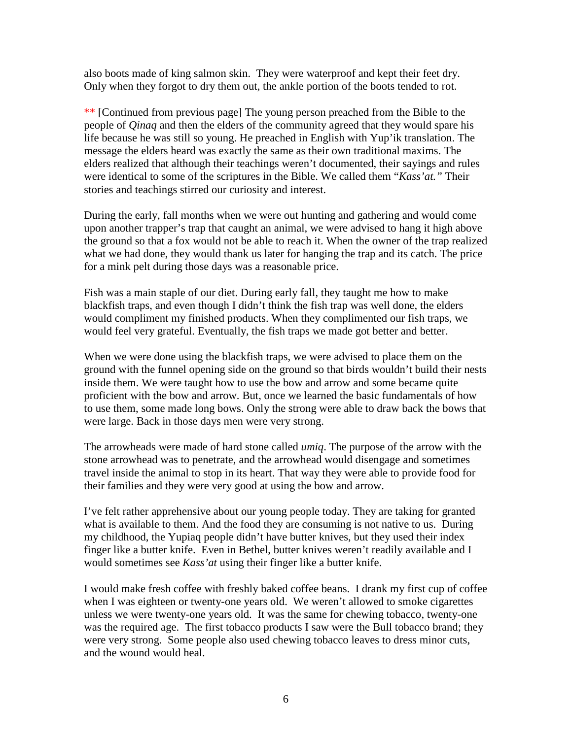also boots made of king salmon skin. They were waterproof and kept their feet dry. Only when they forgot to dry them out, the ankle portion of the boots tended to rot.

\*\* [Continued from previous page] The young person preached from the Bible to the people of *Qinaq* and then the elders of the community agreed that they would spare his life because he was still so young. He preached in English with Yup'ik translation. The message the elders heard was exactly the same as their own traditional maxims. The elders realized that although their teachings weren't documented, their sayings and rules were identical to some of the scriptures in the Bible. We called them "*Kass'at."* Their stories and teachings stirred our curiosity and interest.

During the early, fall months when we were out hunting and gathering and would come upon another trapper's trap that caught an animal, we were advised to hang it high above the ground so that a fox would not be able to reach it. When the owner of the trap realized what we had done, they would thank us later for hanging the trap and its catch. The price for a mink pelt during those days was a reasonable price.

Fish was a main staple of our diet. During early fall, they taught me how to make blackfish traps, and even though I didn't think the fish trap was well done, the elders would compliment my finished products. When they complimented our fish traps, we would feel very grateful. Eventually, the fish traps we made got better and better.

When we were done using the blackfish traps, we were advised to place them on the ground with the funnel opening side on the ground so that birds wouldn't build their nests inside them. We were taught how to use the bow and arrow and some became quite proficient with the bow and arrow. But, once we learned the basic fundamentals of how to use them, some made long bows. Only the strong were able to draw back the bows that were large. Back in those days men were very strong.

The arrowheads were made of hard stone called *umiq*. The purpose of the arrow with the stone arrowhead was to penetrate, and the arrowhead would disengage and sometimes travel inside the animal to stop in its heart. That way they were able to provide food for their families and they were very good at using the bow and arrow.

I've felt rather apprehensive about our young people today. They are taking for granted what is available to them. And the food they are consuming is not native to us. During my childhood, the Yupiaq people didn't have butter knives, but they used their index finger like a butter knife. Even in Bethel, butter knives weren't readily available and I would sometimes see *Kass'at* using their finger like a butter knife.

I would make fresh coffee with freshly baked coffee beans. I drank my first cup of coffee when I was eighteen or twenty-one years old. We weren't allowed to smoke cigarettes unless we were twenty-one years old. It was the same for chewing tobacco, twenty-one was the required age. The first tobacco products I saw were the Bull tobacco brand; they were very strong. Some people also used chewing tobacco leaves to dress minor cuts, and the wound would heal.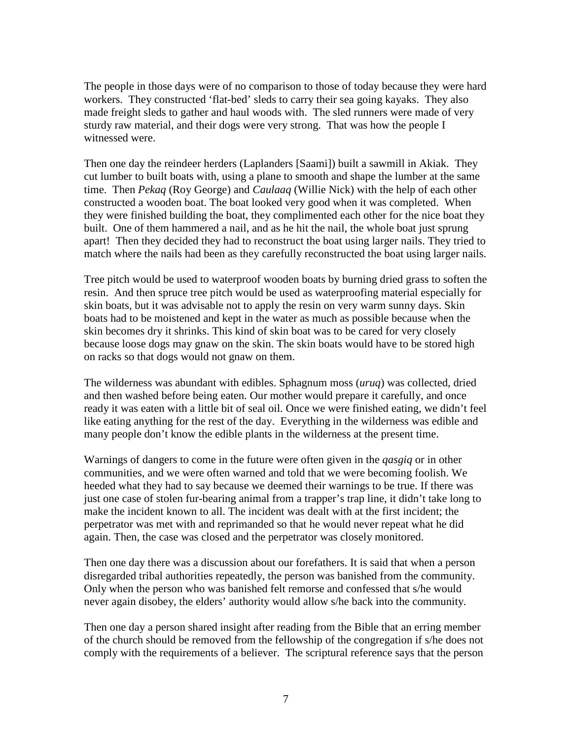The people in those days were of no comparison to those of today because they were hard workers. They constructed 'flat-bed' sleds to carry their sea going kayaks. They also made freight sleds to gather and haul woods with. The sled runners were made of very sturdy raw material, and their dogs were very strong. That was how the people I witnessed were.

Then one day the reindeer herders (Laplanders [Saami]) built a sawmill in Akiak. They cut lumber to built boats with, using a plane to smooth and shape the lumber at the same time. Then *Pekaq* (Roy George) and *Caulaaq* (Willie Nick) with the help of each other constructed a wooden boat. The boat looked very good when it was completed. When they were finished building the boat, they complimented each other for the nice boat they built. One of them hammered a nail, and as he hit the nail, the whole boat just sprung apart! Then they decided they had to reconstruct the boat using larger nails. They tried to match where the nails had been as they carefully reconstructed the boat using larger nails.

Tree pitch would be used to waterproof wooden boats by burning dried grass to soften the resin. And then spruce tree pitch would be used as waterproofing material especially for skin boats, but it was advisable not to apply the resin on very warm sunny days. Skin boats had to be moistened and kept in the water as much as possible because when the skin becomes dry it shrinks. This kind of skin boat was to be cared for very closely because loose dogs may gnaw on the skin. The skin boats would have to be stored high on racks so that dogs would not gnaw on them.

The wilderness was abundant with edibles. Sphagnum moss (*uruq*) was collected, dried and then washed before being eaten. Our mother would prepare it carefully, and once ready it was eaten with a little bit of seal oil. Once we were finished eating, we didn't feel like eating anything for the rest of the day. Everything in the wilderness was edible and many people don't know the edible plants in the wilderness at the present time.

Warnings of dangers to come in the future were often given in the *qasgiq* or in other communities, and we were often warned and told that we were becoming foolish. We heeded what they had to say because we deemed their warnings to be true. If there was just one case of stolen fur-bearing animal from a trapper's trap line, it didn't take long to make the incident known to all. The incident was dealt with at the first incident; the perpetrator was met with and reprimanded so that he would never repeat what he did again. Then, the case was closed and the perpetrator was closely monitored.

Then one day there was a discussion about our forefathers. It is said that when a person disregarded tribal authorities repeatedly, the person was banished from the community. Only when the person who was banished felt remorse and confessed that s/he would never again disobey, the elders' authority would allow s/he back into the community.

Then one day a person shared insight after reading from the Bible that an erring member of the church should be removed from the fellowship of the congregation if s/he does not comply with the requirements of a believer. The scriptural reference says that the person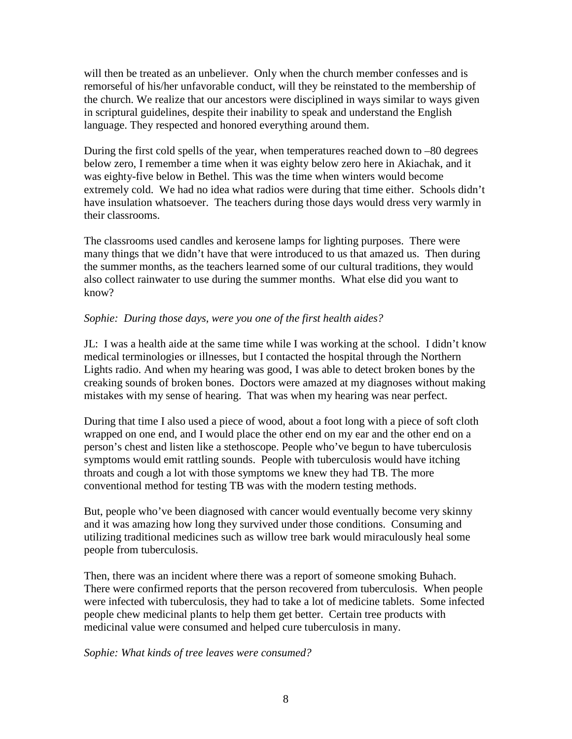will then be treated as an unbeliever. Only when the church member confesses and is remorseful of his/her unfavorable conduct, will they be reinstated to the membership of the church. We realize that our ancestors were disciplined in ways similar to ways given in scriptural guidelines, despite their inability to speak and understand the English language. They respected and honored everything around them.

During the first cold spells of the year, when temperatures reached down to –80 degrees below zero, I remember a time when it was eighty below zero here in Akiachak, and it was eighty-five below in Bethel. This was the time when winters would become extremely cold. We had no idea what radios were during that time either. Schools didn't have insulation whatsoever. The teachers during those days would dress very warmly in their classrooms.

The classrooms used candles and kerosene lamps for lighting purposes. There were many things that we didn't have that were introduced to us that amazed us. Then during the summer months, as the teachers learned some of our cultural traditions, they would also collect rainwater to use during the summer months. What else did you want to know?

## *Sophie: During those days, were you one of the first health aides?*

JL: I was a health aide at the same time while I was working at the school. I didn't know medical terminologies or illnesses, but I contacted the hospital through the Northern Lights radio. And when my hearing was good, I was able to detect broken bones by the creaking sounds of broken bones. Doctors were amazed at my diagnoses without making mistakes with my sense of hearing. That was when my hearing was near perfect.

During that time I also used a piece of wood, about a foot long with a piece of soft cloth wrapped on one end, and I would place the other end on my ear and the other end on a person's chest and listen like a stethoscope. People who've begun to have tuberculosis symptoms would emit rattling sounds. People with tuberculosis would have itching throats and cough a lot with those symptoms we knew they had TB. The more conventional method for testing TB was with the modern testing methods.

But, people who've been diagnosed with cancer would eventually become very skinny and it was amazing how long they survived under those conditions. Consuming and utilizing traditional medicines such as willow tree bark would miraculously heal some people from tuberculosis.

Then, there was an incident where there was a report of someone smoking Buhach. There were confirmed reports that the person recovered from tuberculosis. When people were infected with tuberculosis, they had to take a lot of medicine tablets. Some infected people chew medicinal plants to help them get better. Certain tree products with medicinal value were consumed and helped cure tuberculosis in many.

*Sophie: What kinds of tree leaves were consumed?*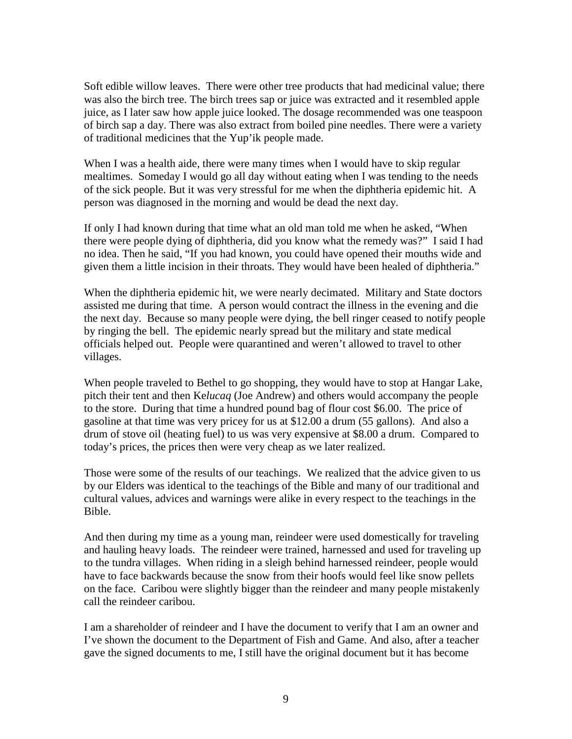Soft edible willow leaves. There were other tree products that had medicinal value; there was also the birch tree. The birch trees sap or juice was extracted and it resembled apple juice, as I later saw how apple juice looked. The dosage recommended was one teaspoon of birch sap a day. There was also extract from boiled pine needles. There were a variety of traditional medicines that the Yup'ik people made.

When I was a health aide, there were many times when I would have to skip regular mealtimes. Someday I would go all day without eating when I was tending to the needs of the sick people. But it was very stressful for me when the diphtheria epidemic hit. A person was diagnosed in the morning and would be dead the next day.

If only I had known during that time what an old man told me when he asked, "When there were people dying of diphtheria, did you know what the remedy was?" I said I had no idea. Then he said, "If you had known, you could have opened their mouths wide and given them a little incision in their throats. They would have been healed of diphtheria."

When the diphtheria epidemic hit, we were nearly decimated. Military and State doctors assisted me during that time. A person would contract the illness in the evening and die the next day. Because so many people were dying, the bell ringer ceased to notify people by ringing the bell. The epidemic nearly spread but the military and state medical officials helped out. People were quarantined and weren't allowed to travel to other villages.

When people traveled to Bethel to go shopping, they would have to stop at Hangar Lake, pitch their tent and then Ke*lucaq* (Joe Andrew) and others would accompany the people to the store. During that time a hundred pound bag of flour cost \$6.00. The price of gasoline at that time was very pricey for us at \$12.00 a drum (55 gallons). And also a drum of stove oil (heating fuel) to us was very expensive at \$8.00 a drum. Compared to today's prices, the prices then were very cheap as we later realized.

Those were some of the results of our teachings. We realized that the advice given to us by our Elders was identical to the teachings of the Bible and many of our traditional and cultural values, advices and warnings were alike in every respect to the teachings in the Bible.

And then during my time as a young man, reindeer were used domestically for traveling and hauling heavy loads. The reindeer were trained, harnessed and used for traveling up to the tundra villages. When riding in a sleigh behind harnessed reindeer, people would have to face backwards because the snow from their hoofs would feel like snow pellets on the face. Caribou were slightly bigger than the reindeer and many people mistakenly call the reindeer caribou.

I am a shareholder of reindeer and I have the document to verify that I am an owner and I've shown the document to the Department of Fish and Game. And also, after a teacher gave the signed documents to me, I still have the original document but it has become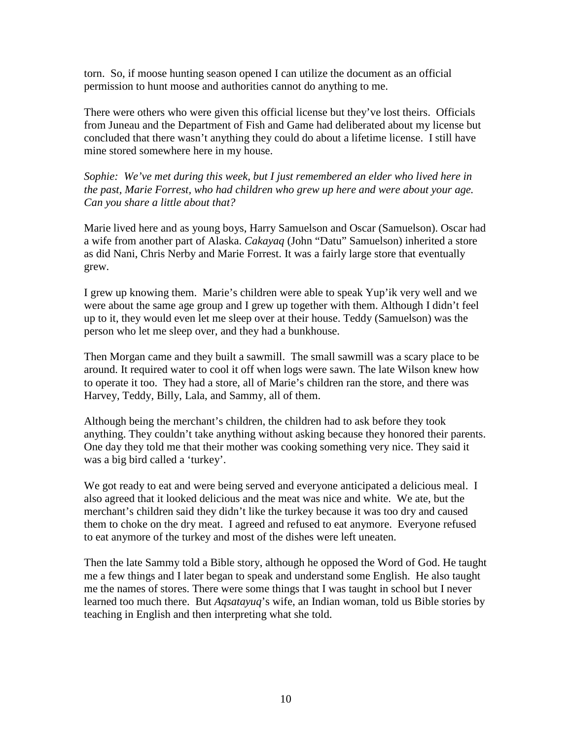torn. So, if moose hunting season opened I can utilize the document as an official permission to hunt moose and authorities cannot do anything to me.

There were others who were given this official license but they've lost theirs. Officials from Juneau and the Department of Fish and Game had deliberated about my license but concluded that there wasn't anything they could do about a lifetime license. I still have mine stored somewhere here in my house.

*Sophie: We've met during this week, but I just remembered an elder who lived here in the past, Marie Forrest, who had children who grew up here and were about your age. Can you share a little about that?*

Marie lived here and as young boys, Harry Samuelson and Oscar (Samuelson). Oscar had a wife from another part of Alaska. *Cakayaq* (John "Datu" Samuelson) inherited a store as did Nani, Chris Nerby and Marie Forrest. It was a fairly large store that eventually grew.

I grew up knowing them. Marie's children were able to speak Yup'ik very well and we were about the same age group and I grew up together with them. Although I didn't feel up to it, they would even let me sleep over at their house. Teddy (Samuelson) was the person who let me sleep over, and they had a bunkhouse.

Then Morgan came and they built a sawmill. The small sawmill was a scary place to be around. It required water to cool it off when logs were sawn. The late Wilson knew how to operate it too. They had a store, all of Marie's children ran the store, and there was Harvey, Teddy, Billy, Lala, and Sammy, all of them.

Although being the merchant's children, the children had to ask before they took anything. They couldn't take anything without asking because they honored their parents. One day they told me that their mother was cooking something very nice. They said it was a big bird called a 'turkey'.

We got ready to eat and were being served and everyone anticipated a delicious meal. I also agreed that it looked delicious and the meat was nice and white. We ate, but the merchant's children said they didn't like the turkey because it was too dry and caused them to choke on the dry meat. I agreed and refused to eat anymore. Everyone refused to eat anymore of the turkey and most of the dishes were left uneaten.

Then the late Sammy told a Bible story, although he opposed the Word of God. He taught me a few things and I later began to speak and understand some English. He also taught me the names of stores. There were some things that I was taught in school but I never learned too much there. But *Aqsatayuq*'s wife, an Indian woman, told us Bible stories by teaching in English and then interpreting what she told.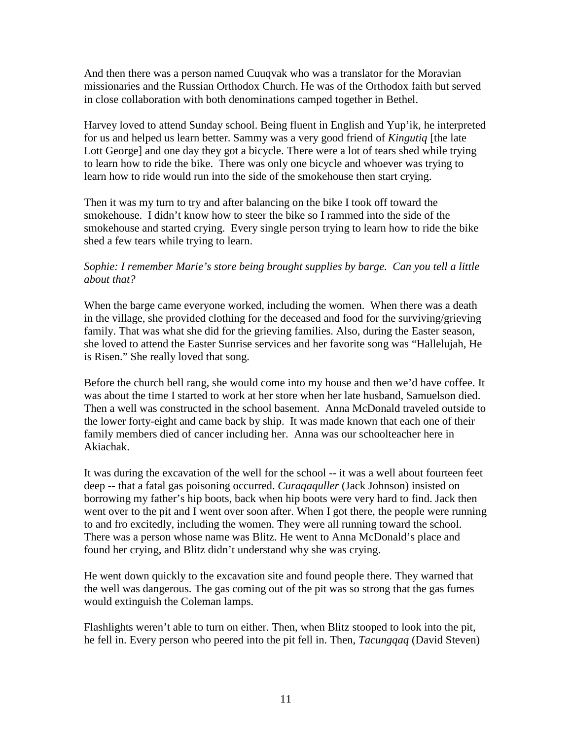And then there was a person named Cuuqvak who was a translator for the Moravian missionaries and the Russian Orthodox Church. He was of the Orthodox faith but served in close collaboration with both denominations camped together in Bethel.

Harvey loved to attend Sunday school. Being fluent in English and Yup'ik, he interpreted for us and helped us learn better. Sammy was a very good friend of *Kingutiq* [the late Lott George] and one day they got a bicycle. There were a lot of tears shed while trying to learn how to ride the bike. There was only one bicycle and whoever was trying to learn how to ride would run into the side of the smokehouse then start crying.

Then it was my turn to try and after balancing on the bike I took off toward the smokehouse. I didn't know how to steer the bike so I rammed into the side of the smokehouse and started crying. Every single person trying to learn how to ride the bike shed a few tears while trying to learn.

## *Sophie: I remember Marie's store being brought supplies by barge. Can you tell a little about that?*

When the barge came everyone worked, including the women. When there was a death in the village, she provided clothing for the deceased and food for the surviving/grieving family. That was what she did for the grieving families. Also, during the Easter season, she loved to attend the Easter Sunrise services and her favorite song was "Hallelujah, He is Risen." She really loved that song.

Before the church bell rang, she would come into my house and then we'd have coffee. It was about the time I started to work at her store when her late husband, Samuelson died. Then a well was constructed in the school basement. Anna McDonald traveled outside to the lower forty-eight and came back by ship. It was made known that each one of their family members died of cancer including her. Anna was our schoolteacher here in Akiachak.

It was during the excavation of the well for the school -- it was a well about fourteen feet deep -- that a fatal gas poisoning occurred. *Curaqaquller* (Jack Johnson) insisted on borrowing my father's hip boots, back when hip boots were very hard to find. Jack then went over to the pit and I went over soon after. When I got there, the people were running to and fro excitedly, including the women. They were all running toward the school. There was a person whose name was Blitz. He went to Anna McDonald's place and found her crying, and Blitz didn't understand why she was crying.

He went down quickly to the excavation site and found people there. They warned that the well was dangerous. The gas coming out of the pit was so strong that the gas fumes would extinguish the Coleman lamps.

Flashlights weren't able to turn on either. Then, when Blitz stooped to look into the pit, he fell in. Every person who peered into the pit fell in. Then, *Tacungqaq* (David Steven)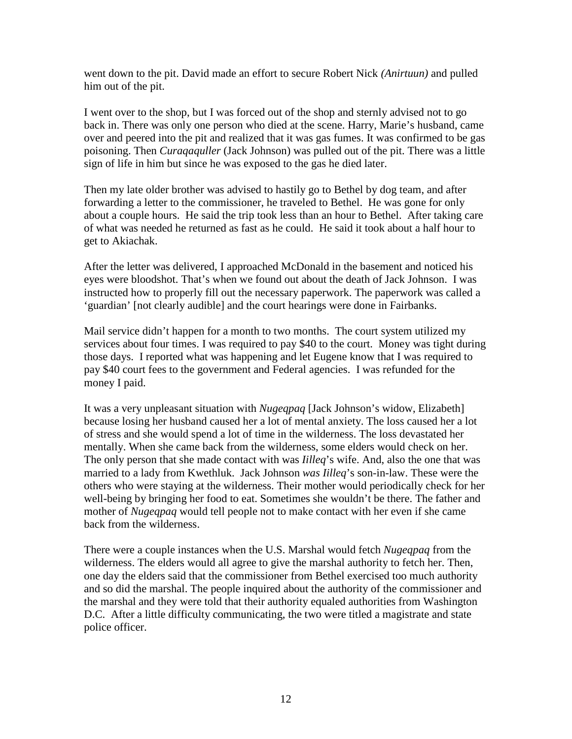went down to the pit. David made an effort to secure Robert Nick *(Anirtuun)* and pulled him out of the pit.

I went over to the shop, but I was forced out of the shop and sternly advised not to go back in. There was only one person who died at the scene. Harry, Marie's husband, came over and peered into the pit and realized that it was gas fumes. It was confirmed to be gas poisoning. Then *Curaqaquller* (Jack Johnson) was pulled out of the pit. There was a little sign of life in him but since he was exposed to the gas he died later.

Then my late older brother was advised to hastily go to Bethel by dog team, and after forwarding a letter to the commissioner, he traveled to Bethel. He was gone for only about a couple hours. He said the trip took less than an hour to Bethel. After taking care of what was needed he returned as fast as he could. He said it took about a half hour to get to Akiachak.

After the letter was delivered, I approached McDonald in the basement and noticed his eyes were bloodshot. That's when we found out about the death of Jack Johnson. I was instructed how to properly fill out the necessary paperwork. The paperwork was called a 'guardian' [not clearly audible] and the court hearings were done in Fairbanks.

Mail service didn't happen for a month to two months. The court system utilized my services about four times. I was required to pay \$40 to the court. Money was tight during those days. I reported what was happening and let Eugene know that I was required to pay \$40 court fees to the government and Federal agencies. I was refunded for the money I paid.

It was a very unpleasant situation with *Nugeqpaq* [Jack Johnson's widow, Elizabeth] because losing her husband caused her a lot of mental anxiety. The loss caused her a lot of stress and she would spend a lot of time in the wilderness. The loss devastated her mentally. When she came back from the wilderness, some elders would check on her. The only person that she made contact with was *Iilleq*'s wife. And, also the one that was married to a lady from Kwethluk. Jack Johnson *was Iilleq*'s son-in-law. These were the others who were staying at the wilderness. Their mother would periodically check for her well-being by bringing her food to eat. Sometimes she wouldn't be there. The father and mother of *Nugeqpaq* would tell people not to make contact with her even if she came back from the wilderness.

There were a couple instances when the U.S. Marshal would fetch *Nugeqpaq* from the wilderness. The elders would all agree to give the marshal authority to fetch her. Then, one day the elders said that the commissioner from Bethel exercised too much authority and so did the marshal. The people inquired about the authority of the commissioner and the marshal and they were told that their authority equaled authorities from Washington D.C. After a little difficulty communicating, the two were titled a magistrate and state police officer.